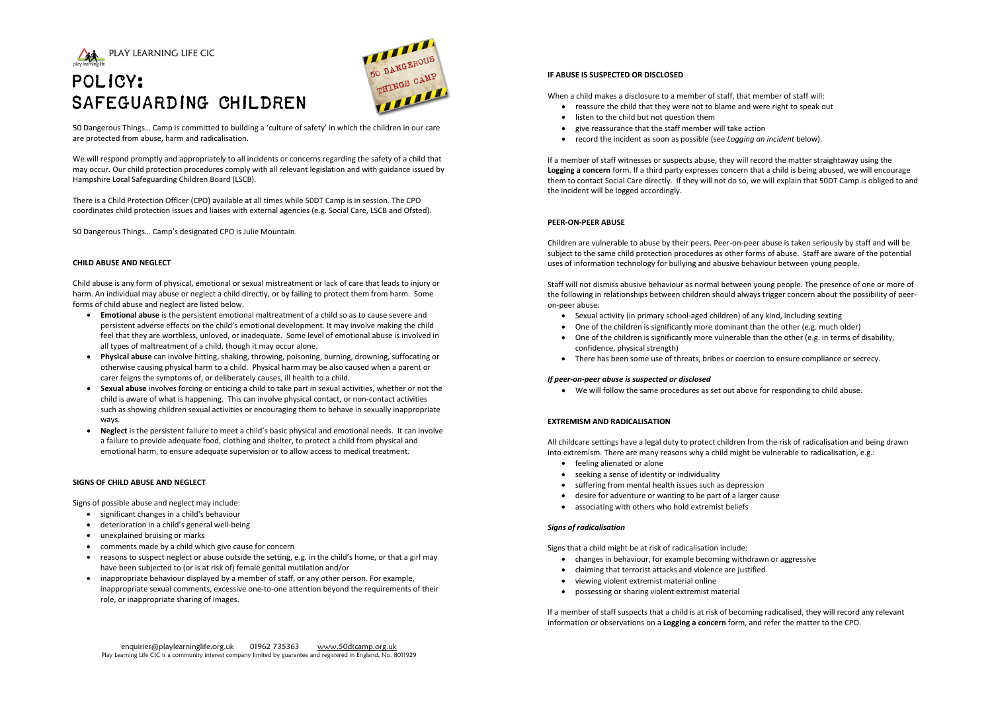



## POLICY: SAFEGUARDING CHILDREN

50 Dangerous Things… Camp is committed to building a 'culture of safety' in which the children in our care are protected from abuse, harm and radicalisation.

We will respond promptly and appropriately to all incidents or concerns regarding the safety of a child that may occur. Our child protection procedures comply with all relevant legislation and with guidance issued by Hampshire Local Safeguarding Children Board (LSCB).

There is a Child Protection Officer (CPO) available at all times while 50DT Camp is in session. The CPO coordinates child protection issues and liaises with external agencies (e.g. Social Care, LSCB and Ofsted).

50 Dangerous Things… Camp's designated CPO is Julie Mountain.

## **CHILD ABUSE AND NEGLECT**

Child abuse is any form of physical, emotional or sexual mistreatment or lack of care that leads to injury or harm. An individual may abuse or neglect a child directly, or by failing to protect them from harm. Some forms of child abuse and neglect are listed below.

- **Emotional abuse** is the persistent emotional maltreatment of a child so as to cause severe and persistent adverse effects on the child's emotional development. It may involve making the child feel that they are worthless, unloved, or inadequate. Some level of emotional abuse is involved in all types of maltreatment of a child, though it may occur alone.
- **Physical abuse** can involve hitting, shaking, throwing, poisoning, burning, drowning, suffocating or otherwise causing physical harm to a child. Physical harm may be also caused when a parent or carer feigns the symptoms of, or deliberately causes, ill health to a child.
- **Sexual abuse** involves forcing or enticing a child to take part in sexual activities, whether or not the child is aware of what is happening. This can involve physical contact, or non-contact activities such as showing children sexual activities or encouraging them to behave in sexually inappropriate ways.
- **Neglect** is the persistent failure to meet a child's basic physical and emotional needs. It can involve a failure to provide adequate food, clothing and shelter, to protect a child from physical and emotional harm, to ensure adequate supervision or to allow access to medical treatment.

## **SIGNS OF CHILD ABUSE AND NEGLECT**

Signs of possible abuse and neglect may include:

- significant changes in a child's behaviour
- deterioration in a child's general well-being
- unexplained bruising or marks
- comments made by a child which give cause for concern
- reasons to suspect neglect or abuse outside the setting, e.g. in the child's home, or that a girl may have been subjected to (or is at risk of) female genital mutilation and/or
- inappropriate behaviour displayed by a member of staff, or any other person. For example, inappropriate sexual comments, excessive one-to-one attention beyond the requirements of their role, or inappropriate sharing of images.

## **IF ABUSE IS SUSPECTED OR DISCLOSED**

When a child makes a disclosure to a member of staff, that member of staff will:

- reassure the child that they were not to blame and were right to speak out
- listen to the child but not question them
- give reassurance that the staff member will take action
- record the incident as soon as possible (see *Logging an incident* below).

If a member of staff witnesses or suspects abuse, they will record the matter straightaway using the **Logging a concern** form. If a third party expresses concern that a child is being abused, we will encourage them to contact Social Care directly. If they will not do so, we will explain that 50DT Camp is obliged to and the incident will be logged accordingly.

## **PEER-ON-PEER ABUSE**

Children are vulnerable to abuse by their peers. Peer-on-peer abuse is taken seriously by staff and will be subject to the same child protection procedures as other forms of abuse. Staff are aware of the potential uses of information technology for bullying and abusive behaviour between young people.

Staff will not dismiss abusive behaviour as normal between young people. The presence of one or more of the following in relationships between children should always trigger concern about the possibility of peeron-peer abuse:

- Sexual activity (in primary school-aged children) of any kind, including sexting
- One of the children is significantly more dominant than the other (e.g. much older)
- One of the children is significantly more vulnerable than the other (e.g. in terms of disability, confidence, physical strength)
- There has been some use of threats, bribes or coercion to ensure compliance or secrecy.

## *If peer-on-peer abuse is suspected or disclosed*

• We will follow the same procedures as set out above for responding to child abuse.

## **EXTREMISM AND RADICALISATION**

All childcare settings have a legal duty to protect children from the risk of radicalisation and being drawn into extremism. There are many reasons why a child might be vulnerable to radicalisation, e.g.:

- feeling alienated or alone
- seeking a sense of identity or individuality
- suffering from mental health issues such as depression
- desire for adventure or wanting to be part of a larger cause
- associating with others who hold extremist beliefs

## *Signs of radicalisation*

Signs that a child might be at risk of radicalisation include:

- changes in behaviour, for example becoming withdrawn or aggressive
- claiming that terrorist attacks and violence are justified
- viewing violent extremist material online
- possessing or sharing violent extremist material

If a member of staff suspects that a child is at risk of becoming radicalised, they will record any relevant information or observations on a **Logging a concern** form, and refer the matter to the CPO.